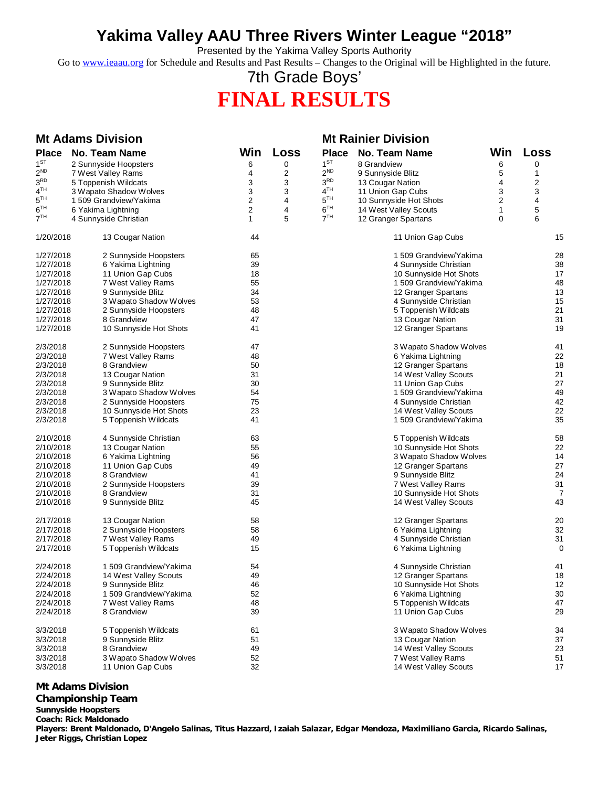# **Yakima Valley AAU Three Rivers Winter League "2018"**

Presented by the Yakima Valley Sports Authority

Go to [www.ieaau.org](http://www.ieaau.org) for Schedule and Results and Past Results – Changes to the Original will be Highlighted in the future.

# 7th Grade Boys' **FINAL RESULTS**

# **Mt Adams Division Mt Rainier Division**

| <b>Place</b>         | <b>No. Team Name</b>                        | Win            | Loss | <b>Place</b>    | <b>No. Team Name</b>   | Win | Loss           |
|----------------------|---------------------------------------------|----------------|------|-----------------|------------------------|-----|----------------|
| 1 <sup>ST</sup>      | 2 Sunnyside Hoopsters                       | 6              | 0    | 1 <sup>ST</sup> | 8 Grandview            | 6   | 0              |
| $2^{ND}$             | 7 West Valley Rams                          | 4              | 2    | $2^{ND}$        | 9 Sunnyside Blitz      | 5   | 1              |
| 3 <sup>RD</sup>      | 5 Toppenish Wildcats                        | 3              | 3    | 3 <sup>RD</sup> | 13 Cougar Nation       | 4   | 2              |
| 4 <sup>TH</sup>      | 3 Wapato Shadow Wolves                      | 3              | 3    | 4 <sup>TH</sup> | 11 Union Gap Cubs      | 3   | 3              |
| $5^{TH}$             | 1509 Grandview/Yakima                       | 2              | 4    | $5^{TH}$        | 10 Sunnyside Hot Shots | 2   | 4              |
| 6 <sup>TH</sup>      | 6 Yakima Lightning                          | $\overline{c}$ | 4    | 6 <sup>TH</sup> | 14 West Valley Scouts  | 1   | 5              |
| $7^{TH}$             |                                             | 1              | 5    | 7 <sup>TH</sup> |                        | 0   | 6              |
|                      | 4 Sunnyside Christian                       |                |      |                 | 12 Granger Spartans    |     |                |
| 1/20/2018            | 13 Cougar Nation                            | 44             |      |                 | 11 Union Gap Cubs      |     | 15             |
| 1/27/2018            | 2 Sunnyside Hoopsters                       | 65             |      |                 | 1509 Grandview/Yakima  |     | 28             |
| 1/27/2018            | 6 Yakima Lightning                          | 39             |      |                 | 4 Sunnyside Christian  |     | 38             |
| 1/27/2018            | 11 Union Gap Cubs                           | 18             |      |                 | 10 Sunnyside Hot Shots |     | 17             |
| 1/27/2018            | 7 West Valley Rams                          | 55             |      |                 | 1509 Grandview/Yakima  |     | 48             |
| 1/27/2018            | 9 Sunnyside Blitz                           | 34             |      |                 | 12 Granger Spartans    |     | 13             |
| 1/27/2018            | 3 Wapato Shadow Wolves                      | 53             |      |                 | 4 Sunnyside Christian  |     | 15             |
| 1/27/2018            | 2 Sunnyside Hoopsters                       | 48             |      |                 | 5 Toppenish Wildcats   |     | 21             |
| 1/27/2018            | 8 Grandview                                 | 47             |      |                 | 13 Cougar Nation       |     | 31             |
| 1/27/2018            | 10 Sunnyside Hot Shots                      | 41             |      |                 | 12 Granger Spartans    |     | 19             |
|                      |                                             | 47             |      |                 |                        |     | 41             |
| 2/3/2018<br>2/3/2018 | 2 Sunnyside Hoopsters<br>7 West Valley Rams |                |      |                 | 3 Wapato Shadow Wolves |     | 22             |
|                      |                                             | 48             |      |                 | 6 Yakima Lightning     |     |                |
| 2/3/2018             | 8 Grandview                                 | 50             |      |                 | 12 Granger Spartans    |     | 18             |
| 2/3/2018             | 13 Cougar Nation                            | 31             |      |                 | 14 West Valley Scouts  |     | 21             |
| 2/3/2018             | 9 Sunnyside Blitz                           | 30             |      |                 | 11 Union Gap Cubs      |     | 27             |
| 2/3/2018             | 3 Wapato Shadow Wolves                      | 54             |      |                 | 1509 Grandview/Yakima  |     | 49             |
| 2/3/2018             | 2 Sunnyside Hoopsters                       | 75             |      |                 | 4 Sunnyside Christian  |     | 42             |
| 2/3/2018             | 10 Sunnyside Hot Shots                      | 23             |      |                 | 14 West Valley Scouts  |     | 22             |
| 2/3/2018             | 5 Toppenish Wildcats                        | 41             |      |                 | 1509 Grandview/Yakima  |     | 35             |
| 2/10/2018            | 4 Sunnyside Christian                       | 63             |      |                 | 5 Toppenish Wildcats   |     | 58             |
| 2/10/2018            | 13 Cougar Nation                            | 55             |      |                 | 10 Sunnyside Hot Shots |     | 22             |
| 2/10/2018            | 6 Yakima Lightning                          | 56             |      |                 | 3 Wapato Shadow Wolves |     | 14             |
| 2/10/2018            | 11 Union Gap Cubs                           | 49             |      |                 | 12 Granger Spartans    |     | 27             |
| 2/10/2018            | 8 Grandview                                 | 41             |      |                 | 9 Sunnyside Blitz      |     | 24             |
| 2/10/2018            | 2 Sunnyside Hoopsters                       | 39             |      |                 | 7 West Valley Rams     |     | 31             |
| 2/10/2018            | 8 Grandview                                 | 31             |      |                 | 10 Sunnyside Hot Shots |     | $\overline{7}$ |
| 2/10/2018            | 9 Sunnyside Blitz                           | 45             |      |                 | 14 West Valley Scouts  |     | 43             |
| 2/17/2018            | 13 Cougar Nation                            | 58             |      |                 | 12 Granger Spartans    |     | 20             |
| 2/17/2018            | 2 Sunnyside Hoopsters                       | 58             |      |                 | 6 Yakima Lightning     |     | 32             |
| 2/17/2018            | 7 West Valley Rams                          | 49             |      |                 | 4 Sunnyside Christian  |     | 31             |
| 2/17/2018            | 5 Toppenish Wildcats                        | 15             |      |                 | 6 Yakima Lightning     |     | 0              |
| 2/24/2018            | 1509 Grandview/Yakima                       | 54             |      |                 | 4 Sunnyside Christian  |     | 41             |
| 2/24/2018            |                                             | 49             |      |                 |                        |     | 18             |
|                      | 14 West Valley Scouts                       |                |      |                 | 12 Granger Spartans    |     |                |
| 2/24/2018            | 9 Sunnyside Blitz                           | 46             |      |                 | 10 Sunnyside Hot Shots |     | 12             |
| 2/24/2018            | 1 509 Grandview/Yakima                      | 52             |      |                 | 6 Yakima Lightning     |     | 30             |
| 2/24/2018            | 7 West Valley Rams                          | 48             |      |                 | 5 Toppenish Wildcats   |     | 47             |
| 2/24/2018            | 8 Grandview                                 | 39             |      |                 | 11 Union Gap Cubs      |     | 29             |
| 3/3/2018             | 5 Toppenish Wildcats                        | 61             |      |                 | 3 Wapato Shadow Wolves |     | 34             |
| 3/3/2018             | 9 Sunnyside Blitz                           | 51             |      |                 | 13 Cougar Nation       |     | 37             |
| 3/3/2018             | 8 Grandview                                 | 49             |      |                 | 14 West Valley Scouts  |     | 23             |
| 3/3/2018             | 3 Wapato Shadow Wolves                      | 52             |      |                 | 7 West Valley Rams     |     | 51             |
| 3/3/2018             | 11 Union Gap Cubs                           | 32             |      |                 | 14 West Valley Scouts  |     | 17             |
|                      |                                             |                |      |                 |                        |     |                |

## **Mt Adams Division**

## **Championship Team**

**Sunnyside Hoopsters Coach: Rick Maldonado**

**Players: Brent Maldonado, D'Angelo Salinas, Titus Hazzard, Izaiah Salazar, Edgar Mendoza, Maximiliano Garcia, Ricardo Salinas, Jeter Riggs, Christian Lopez**